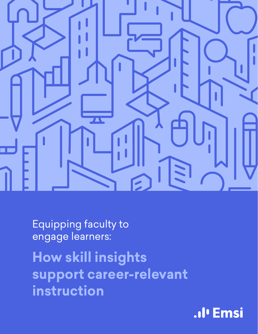

Equipping faculty to engage learners:

**How skill insights support career-relevant instruction**

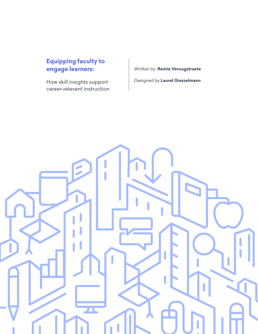### **engage learners: Equipping faculty to**

How skill insights support career-relevant instruction Written by **Remie Verougstraete** Designed by **Laurel Gieszelmann**

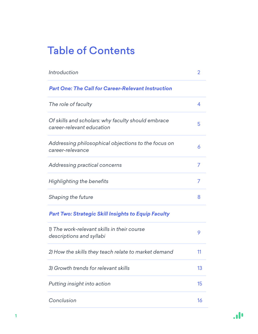### Table of Contents

| Introduction                                                                    | 2  |
|---------------------------------------------------------------------------------|----|
| <b>Part One: The Call for Career-Relevant Instruction</b>                       |    |
| The role of faculty                                                             | 4  |
| Of skills and scholars: why faculty should embrace<br>career-relevant education | 5  |
| Addressing philosophical objections to the focus on<br>career-relevance         | 6  |
| Addressing practical concerns                                                   | 7  |
| Highlighting the benefits                                                       | 7  |
| Shaping the future                                                              | 8  |
| <b>Part Two: Strategic Skill Insights to Equip Faculty</b>                      |    |
| 1) The work-relevant skills in their course<br>descriptions and syllabi         | 9  |
| 2) How the skills they teach relate to market demand                            | 11 |
| 3) Growth trends for relevant skills                                            | 13 |
| Putting insight into action                                                     | 15 |
| Conclusion                                                                      | 16 |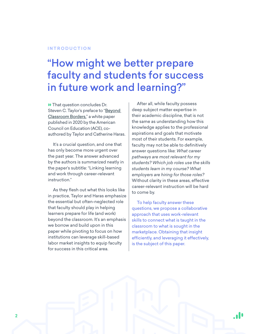#### <span id="page-3-0"></span>**INTRODUCTION**

### "How might we better prepare faculty and students for success in future work and learning?"

**»** That question concludes Dr. Steven C. Taylor's preface to "Beyond [Classroom Borders,"](https://www.acenet.edu/Documents/Beyond-Classroom-Borders.pdf) a white paper published in 2020 by the American Council on Education (ACE), coauthored by Taylor and Catherine Haras.

It's a crucial question, and one that has only become more urgent over the past year. The answer advanced by the authors is summarized neatly in the paper's subtitle: "Linking learning and work through career-relevant instruction."

As they flesh out what this looks like in practice, Taylor and Haras emphasize the essential but often-neglected role that faculty should play in helping learners prepare for life (and work) beyond the classroom. It's an emphasis we borrow and build upon in this paper while pivoting to focus on how institutions can leverage skill-based labor market insights to equip faculty for success in this critical area.

After all, while faculty possess deep subject matter expertise in their academic discipline, that is not the same as understanding how this knowledge applies to the professional aspirations and goals that motivate most of their students. For example, faculty may not be able to definitively answer questions like: *What career pathways are most relevant for my students? Which job roles use the skills students learn in my course? What employers are hiring for those roles?*  Without clarity in these areas, effective career-relevant instruction will be hard to come by.

To help faculty answer these questions, we propose a collaborative approach that uses work-relevant skills to connect what is taught in the classroom to what is sought in the marketplace. Obtaining that insight efficiently, and leveraging it effectively, is the subject of this paper.

۰l۰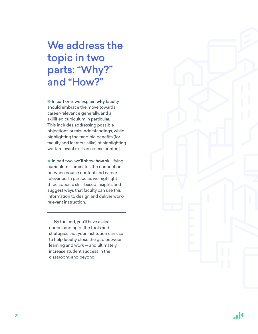### We address the topic in two parts: "Why?" and "How?"

» In part one, we explain **why** faculty should embrace the move towards career-relevance generally, and a skillified curriculum in particular. This includes addressing possible objections or misunderstandings, while highlighting the tangible benefits (for faculty and learners alike) of highlighting work-relevant skills in course content.

» In part two, we'll show **how** skillifying curriculum illuminates the connection between course content and career relevance. In particular, we highlight three specific skill-based insights and suggest ways that faculty can use this information to design and deliver workrelevant instruction.

By the end, you'll have a clear understanding of the tools and strategies that your institution can use to help faculty close the gap between learning and work — and ultimately, increase student success in the classroom, and beyond.



 $\cdot$ l'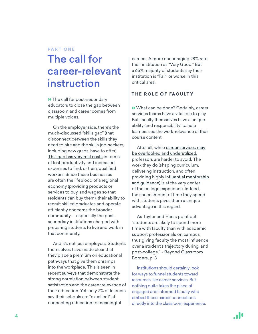#### <span id="page-5-0"></span>**PART ONE**

### The call for career-relevant instruction

» The call for post-secondary educators to close the gap between classroom and career comes from multiple voices.

On the employer side, there's the much-discussed "skills gap" (that disconnect between the skills they need to hire and the skills job-seekers, including new grads, have to offer). [This gap has very real costs](https://www.businessnewsdaily.com/6038-skills-gaps-cost-companies-thousands.html#:~:text=Most%20companies%20spend%20more%20than,disciplines%20have%20caused%20the%20gap.) in terms of lost productivity and increased expenses to find, or train, qualified workers. Since these businesses are often the lifeblood of a regional economy (providing products or services to buy, and wages so that residents can buy them), their ability to recruit skilled graduates and operate efficiently concerns the broader community — especially the postsecondary institutions charged with preparing students to live and work in that community.

And it's not just employers. Students themselves have made clear that they place a premium on educational pathways that give them onramps into the workplace. This is seen in recent [surveys that demonstrate](https://cci.stradaeducation.org/pv-release-october-27-2020/) the strong correlation between student satisfaction and the career relevance of their education. Yet, only 7% of learners say their schools are "excellent" at connecting education to meaningful

careers. A more encouraging 28% rate their institution as "Very Good." But a 65% majority of students say their institution is "Fair" or worse in this critical area.

#### **THE ROLE OF FACULTY**

» What can be done? Certainly, career services teams have a vital role to play. But, faculty themselves have a unique ability (and responsibility) to help learners see the work-relevance of their course content.

After all, while [career services may](https://www.theatlantic.com/education/archive/2018/01/why-arent-college-students-using-career-services/551051/)  [be overlooked and underutilized,](https://www.theatlantic.com/education/archive/2018/01/why-arent-college-students-using-career-services/551051/) professors are harder to avoid. The work they do (shaping curriculum, delivering instruction, and often providing highly [influential mentorship](https://cci.stradaeducation.org/report/mentoring-college-students-to-success/)  [and guidance\)](https://cci.stradaeducation.org/report/mentoring-college-students-to-success/) is at the very center of the college experience. Indeed, the sheer amount of time they spend with students gives them a unique advantage in this regard.

As Taylor and Haras point out, "students are likely to spend more time with faculty than with academic support professionals on campus, thus giving faculty the most influence over a student's trajectory during, and post-college." - Beyond Classroom Borders, p. 3

Institutions should certainly look for ways to funnel students toward resources like career services. But nothing quite takes the place of engaged and informed faculty who embed those career connections directly into the classroom experience.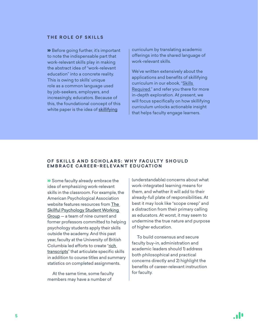#### <span id="page-6-0"></span>**THE ROLE OF SKILLS**

» Before going further, it's important to note the indispensable part that work-relevant skills play in making the abstract idea of "work-relevant education" into a concrete reality. This is owing to skills' unique role as a common language used by job-seekers, employers, and increasingly, educators. Because of this, the foundational concept of this white paper is the idea of [skillifying](https://kb.emsidata.com/glossary/skillify/) 

curriculum by translating academic offerings into the shared language of work-relevant skills.

We've written extensively about the applications and benefits of skillifying curriculum in our ebook, ["Skills](https://www.economicmodeling.com/skills-required/)  [Required](https://www.economicmodeling.com/skills-required/)," and refer you there for more in-depth exploration. At present, we will focus specifically on how skillifying curriculum unlocks actionable insight that helps faculty engage learners.

#### **OF SKILLS AND SCHOLARS: WHY FACULTY SHOULD EMBRACE CAREER-RELEVANT EDUCATION**

» Some faculty already embrace the idea of emphasizing work-relevant skills in the classroom. For example, the American Psychological Association website features resources from [The](https://www.apa.org/ed/precollege/ptn/2019/03/workforce-ready-skills)  [Skillful Psychology Student Working](https://www.apa.org/ed/precollege/ptn/2019/03/workforce-ready-skills)  [Group](https://www.apa.org/ed/precollege/ptn/2019/03/workforce-ready-skills) — a team of nine current and former professors committed to helping psychology students apply their skills outside the academy. And this past year, faculty at the University of British Columbia led efforts to create "rich [transcripts"](https://www.insidehighered.com/views/2021/01/20/students-should-demand-better-college-transcripts-opinion) that articulate specific skills in addition to course titles and summary statistics on completed assignments.

At the same time, some faculty members may have a number of

(understandable) concerns about what work-integrated learning means for them, and whether it will add to their already-full plate of responsibilities. At best it may look like "scope creep" and a distraction from their primary calling as educators. At worst, it may seem to undermine the true nature and purpose of higher education.

To build consensus and secure faculty buy-in, administration and academic leaders should 1) address both philosophical and practical concerns directly and 2) highlight the benefits of career-relevant instruction for faculty.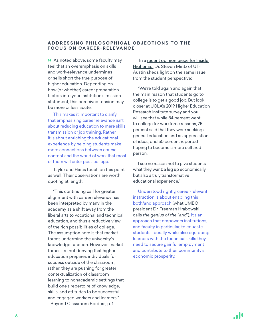#### <span id="page-7-0"></span>**ADDRESSING PHILOSOPHICAL OBJECTIONS TO THE FOCUS ON CAREER-RELEVANCE**

» As noted above, some faculty may feel that an overemphasis on skills and work-relevance undermines or sells short the true purpose of higher education. Depending on how (or whether) career preparation factors into your institution's mission statement, this perceived tension may be more or less acute.

This makes it important to clarify that emphasizing career relevance isn't about reducing education to mere skills transmission or job training. Rather, it is about enriching the educational experience by helping students make more connections between course content and the world of work that most of them will enter post-college.

Taylor and Haras touch on this point as well. Their observations are worth quoting at length:

"This continuing call for greater alignment with career relevancy has been interpreted by many in the academy as a shift away from the liberal arts to vocational and technical education, and thus a reductive view of the rich possibilities of college. The assumption here is that market forces undermine the university's knowledge function. However, market forces are not denying that higher education prepares individuals for success outside of the classroom, rather, they are pushing for greater contextualization of classroom learning to nonacademic settings that build one's repertoire of knowledge, skills, and attitudes to be successful and engaged workers and learners." - Beyond Classroom Borders, p. 1

In a recent opinion piece for Inside [Higher Ed,](https://www.insidehighered.com/blogs/higher-ed-gamma/transformational-teaching) Dr. Steven Mintz of UT-Austin sheds light on the same issue from the student perspective:

"We're told again and again that the main reason that students go to college is to get a good job. But look closer at UCLA's 2019 Higher Education Research Institute survey and you will see that while 84 percent went to college for workforce reasons, 75 percent said that they were seeking a general education and an appreciation of ideas, and 50 percent reported hoping to become a more cultured person.

I see no reason not to give students what they want: a leg up economically but also a truly transformative educational experience."

Understood rightly, career-relevant instruction is about enabling this both/and approach [\(what UMBC](https://stradaeducationnetworklessonsearned.libsyn.com/episode-1-freeman-hrabowski)  [president Dr. Freeman Hrabowski](https://stradaeducationnetworklessonsearned.libsyn.com/episode-1-freeman-hrabowski)  calls *[the genius of the "and"](https://stradaeducationnetworklessonsearned.libsyn.com/episode-1-freeman-hrabowski)*). It's an approach that empowers institutions, and faculty in particular, to educate students liberally while also equipping learners with the technical skills they need to secure gainful employment and contribute to their community's economic prosperity.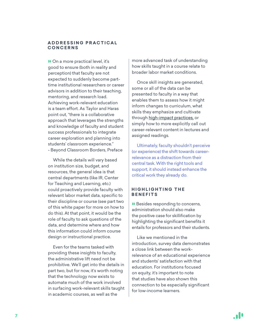#### <span id="page-8-0"></span>**A D D R E S S I N G P R A C T I C A L CONCERNS**

» On a more practical level, it's good to ensure (both in reality and perception) that faculty are not expected to suddenly become parttime institutional researchers or career advisors in addition to their teaching, mentoring, and research load. Achieving work-relevant education is a team effort. As Taylor and Haras point out, "there is a collaborative approach that leverages the strengths and knowledge of faculty and student success professionals to integrate career exploration and planning into students' classroom experience." - Beyond Classroom Borders, Preface

While the details will vary based on institution size, budget, and resources, the general idea is that central departments (like IR, Center for Teaching and Learning, etc.) could proactively provide faculty with relevant labor market data, specific to their discipline or course (see part two of this white paper for more on how to do this). At that point, it would be the role of faculty to ask questions of the data, and determine where and how this information could inform course design or instructional practice.

Even for the teams tasked with providing these insights to faculty, the administrative lift need not be prohibitive. We'll get into the details in part two, but for now, it's worth noting that the technology now exists to automate much of the work involved in surfacing work-relevant skills taught in academic courses, as well as the

more advanced task of understanding how skills taught in a course relate to broader labor market conditions.

Once skill insights are generated, some or all of the data can be presented to faculty in a way that enables them to assess how it might inform changes to curriculum, what skills they emphasize and cultivate through [high-impact practices,](https://www.aacu.org/node/4084) or simply how to more explicitly call out career-relevant content in lectures and assigned readings.

Ultimately, faculty shouldn't perceive (or experience) the shift towards careerrelevance as a distraction from their central task. With the right tools and support, it should instead enhance the critical work they already do.

#### **HIGHLIGHTING THE BENEFITS**

» Besides responding to concerns, administration should also make the positive case for skillification by highlighting the significant benefits it entails for professors and their students.

Like we mentioned in the introduction, survey data demonstrates a close link between the workrelevance of an educational experience and students' satisfaction with that education. For institutions focused on equity, it's important to note that studies have also shown this connection to be especially significant for low-income learners.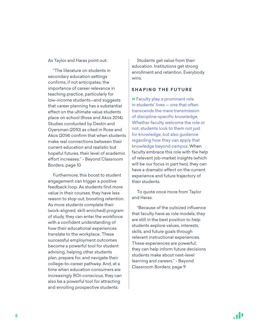<span id="page-9-0"></span>As Taylor and Haras point out:

"The literature on students in secondary education settings confirms, if not anticipates, the importance of career relevance in teaching practice, particularly for low-income students—and suggests that career planning has a substantial effect on the ultimate value students place on school (Rose and Akos 2014). Studies conducted by Destin and Oyersman (2010) as cited in Rose and Akos (2014) confirm that when students make real connections between their current education and realistic but hopeful futures, their level of academic effort increases." - Beyond Classroom Borders, page 10

Furthermore, this boost to student engagement can trigger a positive feedback loop. As students find more value in their courses, they have less reason to stop out, boosting retention. As more students complete their (work-aligned, skill-enriched) program of study, they can enter the workforce with a confident understanding of how their educational experiences translate to the workplace. These successful employment outcomes become a powerful tool for student advising, helping other students plan, prepare for, and navigate their college-to-career pathway. And, at a time when education consumers are increasingly ROI-conscious, they can also be a powerful tool for attracting and enrolling prospective students.

Students get value from their education. Institutions get strong enrollment and retention. Everybody wins.

#### **SHAPING THE FUTURE**

» Faculty play a prominent role in students' lives — one that often transcends the mere transmission of discipline-specific knowledge. Whether faculty welcome the role or not, students look to them not just for knowledge, but also guidance regarding how they can apply that knowledge beyond campus. When faculty embrace this role with the help of relevant job-market insights (which will be our focus in part two), they can have a dramatic effect on the current experience and future trajectory of their students.

To quote once more from Taylor and Haras:

"Because of the outsized influence that faculty have as role models, they are still in the best position to help students explore values, interests, skills, and future goals through relevant instructional experiences. These experiences are powerful; they can help inform future decisions students make about next-level learning and careers." - Beyond Classroom Borders, page 9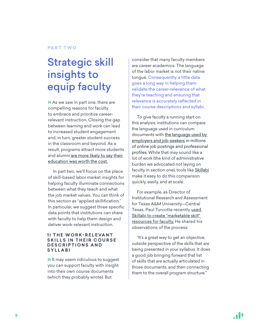#### <span id="page-10-0"></span>**PART TWO**

## Strategic skill insights to equip faculty

» As we saw in part one, there are compelling reasons for faculty to embrace and prioritize careerrelevant instruction. Closing the gap between learning and work can lead to increased student engagement and, in turn, greater student success in the classroom and beyond. As a result, programs attract more students and alumni are more likely to say their [education was worth the cost.](https://cci.stradaeducation.org/pv-release-october-27-2020/)

In part two, we'll focus on the place of skill-based labor market insights for helping faculty illuminate connections between what they teach and what the job market values. You can think of this section as "applied skillification." In particular, we suggest three specific data points that institutions can share with faculty to help them design and deliver work-relevant instruction.

#### **1) THE WORK-RELEVANT SKILLS IN THEIR COURSE DESCRIPTIONS AND SYLLABI**

» It may seem ridiculous to suggest you can support faculty with insight into their own course documents (which they probably wrote). But

consider that many faculty members are career academics. The language of the labor market is not their native tongue. Consequently, a little data goes a long way in helping them validate the career-relevance of what they're teaching and ensuring that relevance is accurately reflected in their course descriptions and syllabi.

To give faculty a running start on this analysis, institutions can compare the language used in curriculum documents with the language used by [employers and job-seekers](https://skills.emsidata.com/) in millions of online job postings and professional profiles. While that may sound like a lot of work (the kind of administrative burden we advocated *not* laying on faculty in section one), tools like [Skillabi](https://www.economicmodeling.com/skillabi/) make it easy to do this comparison quickly, easily, and at scale.

For example, as Director of Institutional Research and Assessment for Texas A&M University—Central Texas, Paul Turcotte recently [used](https://www.economicmodeling.com/2021/03/08/4-benefits-of-skillabi-am-central-texas/)  Skillabi to create "marketable skill" [resources for faculty.](https://www.economicmodeling.com/2021/03/08/4-benefits-of-skillabi-am-central-texas/) He shared his observations of the process:

"It's a great way to get an objective, outside perspective of the skills that are being presented in your syllabus. It does a good job bringing forward that list of skills that are actually articulated in those documents, and then connecting them to the overall program structure."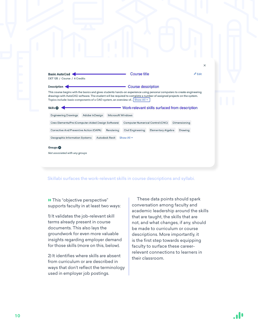| Description                                                                                                                                                                                                                                                                                                                                               |                |                                     | Course description               |                           |                                                |
|-----------------------------------------------------------------------------------------------------------------------------------------------------------------------------------------------------------------------------------------------------------------------------------------------------------------------------------------------------------|----------------|-------------------------------------|----------------------------------|---------------------------|------------------------------------------------|
| This course begins with the basics and gives students hands-on experience using personal computers to create engineering<br>drawings with AutoCAD software. The student will be required to complete a number of assigned projects on the system.<br>Topics include: basic components of a CAD system, an overview of Show All $\sim$<br>Skills <b>OD</b> |                |                                     |                                  |                           | Work-relevant skills surfaced from description |
| <b>Engineering Drawings</b>                                                                                                                                                                                                                                                                                                                               | Adobe InDesign | <b>Microsoft Windows</b>            |                                  |                           |                                                |
| Creo Elements/Pro (Computer-Aided Design Software)                                                                                                                                                                                                                                                                                                        |                |                                     | Computer Numerical Control (CNC) |                           | Dimensioning                                   |
| Corrective And Preventive Action (CAPA)                                                                                                                                                                                                                                                                                                                   |                | Rendering                           | Civil Engineering                | <b>Elementary Algebra</b> | Drawing                                        |
|                                                                                                                                                                                                                                                                                                                                                           |                | <b>Autodesk Revit</b><br>Show All ~ |                                  |                           |                                                |

Skillabi surfaces the work-relevant skills in course descriptions and syllabi.

» This "objective perspective" supports faculty in at least two ways:

1) It validates the job-relevant skill terms already present in course documents. This also lays the groundwork for even more valuable insights regarding employer demand for those skills (more on this, below).

2) It identifies where skills are absent from curriculum or are described in ways that don't reflect the terminology used in employer job postings.

These data points should spark conversation among faculty and academic leadership around the skills that are taught, the skills that are not, and what changes, if any, should be made to curriculum or course descriptions. More importantly, it is the first step towards equipping faculty to surface these careerrelevant connections to learners in their classroom.

 $\times$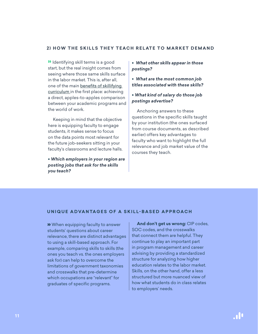#### <span id="page-12-0"></span>**2) HOW THE SKILLS THEY TEACH RELATE TO MARKET DEMAND**

» Identifying skill terms is a good start, but the real insight comes from seeing where those same skills surface in the labor market. This is, after all, one of the main [benefits of skillifying](https://www.economicmodeling.com/2020/09/14/4-reasons-to-translate-curriculum-into-the-language-of-skills/)  [curriculum i](https://www.economicmodeling.com/2020/09/14/4-reasons-to-translate-curriculum-into-the-language-of-skills/)n the first place: achieving a direct, apples-to-apples comparison between your academic programs and the world of work.

Keeping in mind that the objective here is equipping faculty to engage students, it makes sense to focus on the data points most relevant for the future job-seekers sitting in your faculty's classrooms and lecture halls.

• *Which employers in your region are posting jobs that ask for the skills you teach?*

• *What other skills appear in those postings?*

• *What are the most common job titles associated with these skills?*

### • *What kind of salary do those job postings advertise?*

Anchoring answers to these questions in the specific skills taught by your institution (the ones surfaced from course documents, as described earlier) offers key advantages to faculty who want to highlight the full relevance and job market value of the courses they teach.

#### **UNIQUE ADVANTAGES OF A SKILL-BASED APPROACH**

» When equipping faculty to answer students' questions about career relevance, there are distinct advantages to using a skill-based approach. For example, comparing skills to skills (the ones you teach vs. the ones employers ask for) can help to overcome the limitations of government taxonomies and crosswalks that pre-determine which occupations are "relevant" for graduates of specific programs.

**And don't get us wrong:** CIP codes, SOC codes, and the crosswalks that connect them are helpful. They continue to play an important part in program management and career advising by providing a standardized structure for analyzing how higher education relates to the labor market. Skills, on the other hand, offer a less structured but more nuanced view of how what students do in class relates to employers' needs.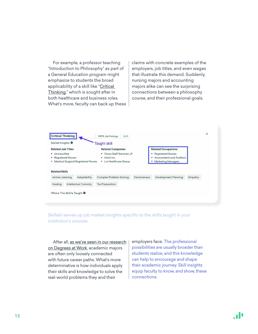For example, a professor teaching "Introduction to Philosophy" as part of a General Education program might emphasize to students the broad applicability of a skill like "[Critical](https://skills.emsidata.com/skills/KS122J56PZMMFL1SVY1F)  [Thinking,](https://skills.emsidata.com/skills/KS122J56PZMMFL1SVY1F)" which is sought after in both healthcare and business roles. What's more, faculty can back up these claims with concrete examples of the employers, job titles, and even wages that illustrate this demand. Suddenly, nursing majors and accounting majors alike can see the surprising connections between a philosophy course, and their professional goals.



Skillabi serves up job market insights specific to the skills taught in your institution's courses.

After all, [as we've seen in our research](https://www.economicmodeling.com/degrees-at-work/)  [on Degrees at Work,](https://www.economicmodeling.com/degrees-at-work/) academic majors are often only loosely connected with future career paths. What's more determinative is how individuals apply their skills and knowledge to solve the real-world problems they and their

employers face. The professional possibilities are usually broader than students realize, and this knowledge can help to encourage and shape their academic journey. Skill insights equip faculty to know, and show, these connections.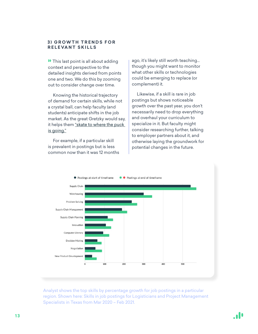#### <span id="page-14-0"></span>**3) GROWTH TRENDS FOR RELEVANT SKILLS**

» This last point is all about adding context and perspective to the detailed insights derived from points one and two. We do this by zooming out to consider change over time.

Knowing the historical trajectory of demand for certain skills, while not a crystal ball, can help faculty (and students) anticipate shifts in the job market. As the great Gretzky would say, it helps them ["skate to where the puck](https://en.wiktionary.org/wiki/where_the_puck_is_heading)  [is going."](https://en.wiktionary.org/wiki/where_the_puck_is_heading)

For example, if a particular skill is prevalent in postings but is less common now than it was 12 months ago, it's likely still worth teaching… though you might want to monitor what other skills or technologies could be emerging to replace (or complement) it.

Likewise, if a skill is rare in job postings but shows noticeable growth over the past year, you don't necessarily need to drop everything and overhaul your curriculum to specialize in it. But faculty might consider researching further, talking to employer partners about it, and otherwise laying the groundwork for potential changes in the future.



Analyst shows the top skills by percentage growth for job postings in a particular region. Shown here: Skills in job postings for Logisticians and Project Management Specialists in Texas from Mar 2020 – Feb 2021.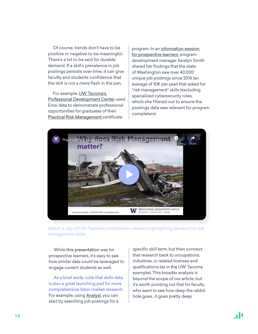Of course, trends don't have to be positive or negative to be meaningful. There's a lot to be said for durable demand. If a skill's prevalence in job postings persists over time, it can give faculty and students confidence that the skill is not a mere flash in the pan.

For example, UW Tacoma's [Professional Development Center](https://www.tacoma.uw.edu/uwt/pdc) used Emsi data to demonstrate professional opportunities for graduates of their [Practical Risk Management](https://www.tacoma.uw.edu/uwt/pdc/practical-risk-management) certificate

program. In an [information session](https://youtu.be/v9WMTgA04iM?t=1436)  [for prospective learners,](https://youtu.be/v9WMTgA04iM?t=1436) program development manager Saralyn Smith shared her findings that the state of Washington saw over 40,000 unique job postings since 2016 (an average of 10K per year) that asked for "risk management" skills (excluding specialized cybersecurity roles, which she filtered out to ensure the postings data was relevant for program completers).



Watch a clip of UW Tacoma's information session highlighting demand for risk management skills.

While this presentation was for prospective learners, it's easy to see how similar data could be leveraged to engage current students as well.

As a brief aside, note that skills data is also a great launching pad for more comprehensive labor market research. For example, using [Analyst](https://www.economicmodeling.com/analyst/), you can start by searching job postings for a

specific skill term, but then connect that research back to occupations, industries, or related licenses and qualifications (as in the UW Tacoma example). This broader analysis is beyond the scope of our article, but it's worth pointing out that for faculty who want to see how deep the rabbit hole goes…it goes pretty deep.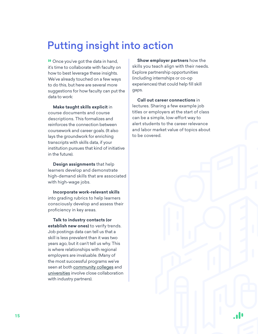# <span id="page-16-0"></span>Putting insight into action

» Once you've got the data in hand, it's time to collaborate with faculty on how to best leverage these insights. We've already touched on a few ways to do this, but here are several more suggestions for how faculty can put the data to work:

**Make taught skills explicit** in course documents and course descriptions. This formalizes and reinforces the connection between coursework and career goals. (It also lays the groundwork for enriching transcripts with skills data, if your institution pursues that kind of initiative in the future).

**Design assignments** that help learners develop and demonstrate high-demand skills that are associated with high-wage jobs.

**Incorporate work-relevant skills**  into grading rubrics to help learners consciously develop and assess their proficiency in key areas.

**Talk to industry contacts (or establish new ones)** to verify trends. Job postings data can tell us that a skill is less prevalent than it was two years ago, but it can't tell us why. This is where relationships with regional employers are invaluable. (Many of the most successful programs we've seen at both [community colleges](https://www.economicmodeling.com/2019/02/13/columbus-state-community-college-and-industry-partners-shape-the-future-of-modern-manufacturing-in-central-ohio/) and [universities](https://www.pilotonline.com/opinion/columns/vp-ed-column-payne-0310-20210309-msdljweduba2lcpc5rzeayhgvy-story.html) involve close collaboration with industry partners).

**Show employer partners** how the skills you teach align with their needs. Explore partnership opportunities (including internships or co-op experiences) that could help fill skill gaps.

**Call out career connections** in lectures. Sharing a few example job titles or employers at the start of class can be a simple, low-effort way to alert students to the career relevance and labor market value of topics about to be covered.